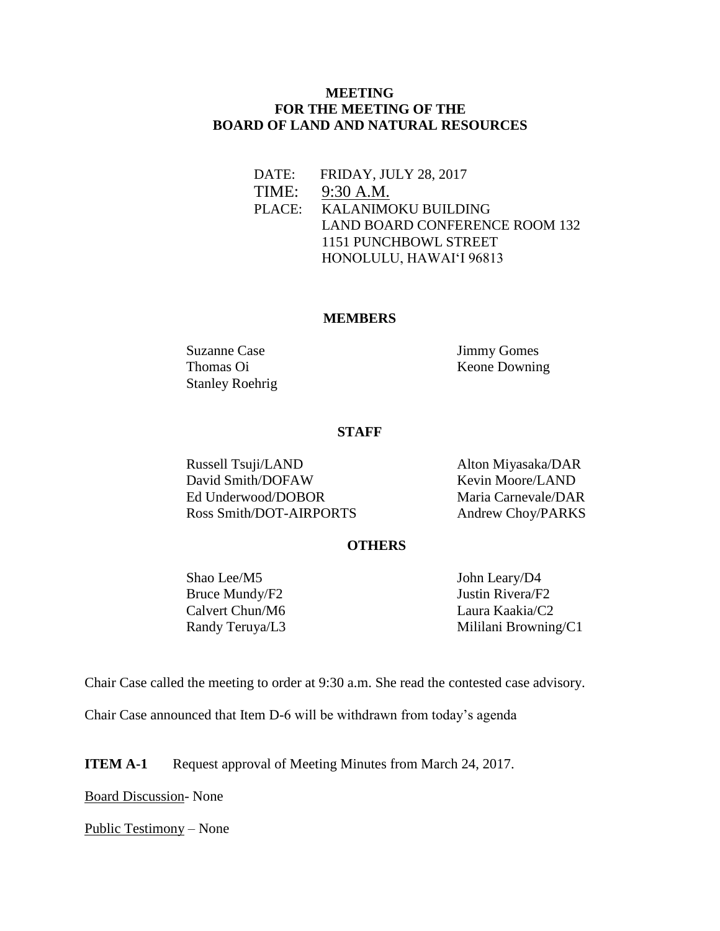## **MEETING FOR THE MEETING OF THE BOARD OF LAND AND NATURAL RESOURCES**

DATE: FRIDAY, JULY 28, 2017

TIME: 9:30 A.M.

 PLACE: KALANIMOKU BUILDING LAND BOARD CONFERENCE ROOM 132 1151 PUNCHBOWL STREET HONOLULU, HAWAIʻI 96813

#### **MEMBERS**

Suzanne Case Jimmy Gomes Stanley Roehrig

Thomas Oi Keone Downing

#### **STAFF**

Russell Tsuji/LAND Alton Miyasaka/DAR<br>
David Smith/DOFAW Kevin Moore/LAND David Smith/DOFAW Ed Underwood/DOBOR Maria Carnevale/DAR Ross Smith/DOT-AIRPORTS Andrew Choy/PARKS

### **OTHERS**

Shao Lee/M5 John Leary/D4 Bruce Mundy/F2 Justin Rivera/F2 Calvert Chun/M6 Laura Kaakia/C2

Randy Teruya/L3 Mililani Browning/C1

Chair Case called the meeting to order at 9:30 a.m. She read the contested case advisory.

Chair Case announced that Item D-6 will be withdrawn from today's agenda

**ITEM A-1** Request approval of Meeting Minutes from March 24, 2017.

Board Discussion- None

Public Testimony – None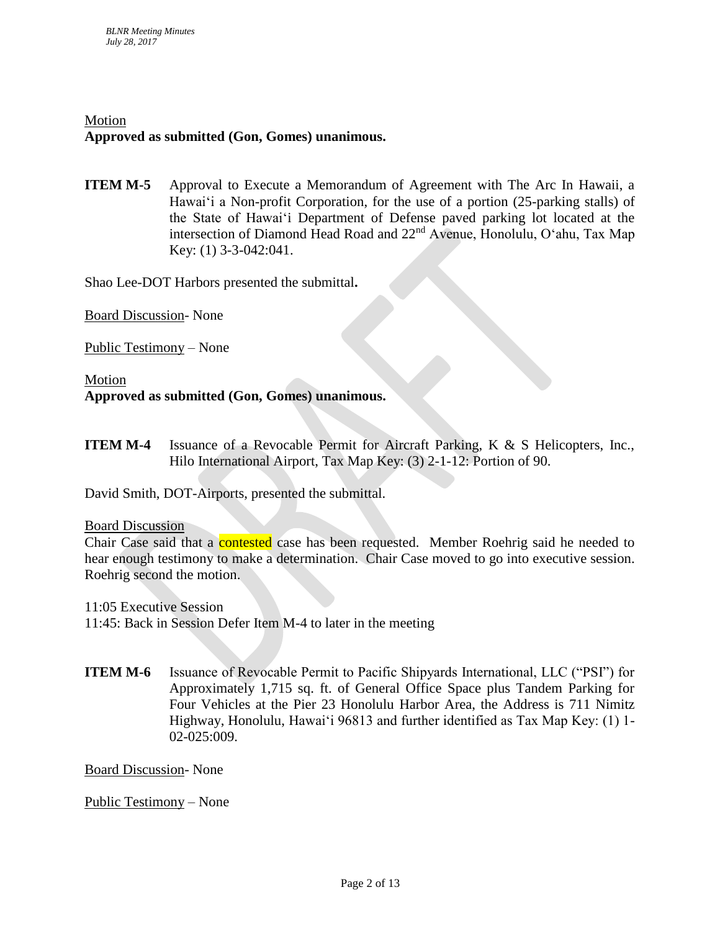# Motion **Approved as submitted (Gon, Gomes) unanimous.**

**ITEM M-5** Approval to Execute a Memorandum of Agreement with The Arc In Hawaii, a Hawai'i a Non-profit Corporation, for the use of a portion (25-parking stalls) of the State of Hawai'i Department of Defense paved parking lot located at the intersection of Diamond Head Road and 22nd Avenue, Honolulu, O'ahu, Tax Map Key: (1) 3-3-042:041.

Shao Lee-DOT Harbors presented the submittal**.**

Board Discussion- None

Public Testimony – None

Motion **Approved as submitted (Gon, Gomes) unanimous.**

**ITEM M-4** Issuance of a Revocable Permit for Aircraft Parking, K & S Helicopters, Inc., Hilo International Airport, Tax Map Key: (3) 2-1-12: Portion of 90.

David Smith, DOT-Airports, presented the submittal.

#### Board Discussion

Chair Case said that a **contested** case has been requested. Member Roehrig said he needed to hear enough testimony to make a determination. Chair Case moved to go into executive session. Roehrig second the motion.

11:05 Executive Session

11:45: Back in Session Defer Item M-4 to later in the meeting

**ITEM M-6** Issuance of Revocable Permit to Pacific Shipyards International, LLC ("PSI") for Approximately 1,715 sq. ft. of General Office Space plus Tandem Parking for Four Vehicles at the Pier 23 Honolulu Harbor Area, the Address is 711 Nimitz Highway, Honolulu, Hawai'i 96813 and further identified as Tax Map Key: (1) 1- 02-025:009.

Board Discussion- None

Public Testimony – None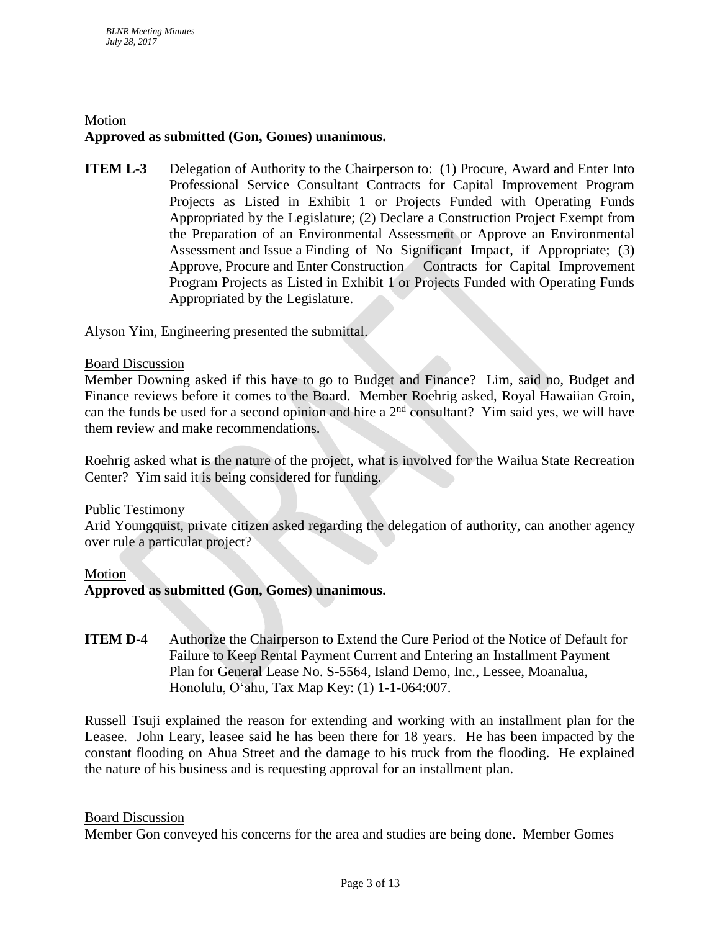# Motion **Approved as submitted (Gon, Gomes) unanimous.**

**ITEM L-3** Delegation of Authority to the Chairperson to: (1) Procure, Award and Enter Into Professional Service Consultant Contracts for Capital Improvement Program Projects as Listed in Exhibit 1 or Projects Funded with Operating Funds Appropriated by the Legislature; (2) Declare a Construction Project Exempt from the Preparation of an Environmental Assessment or Approve an Environmental Assessment and Issue a Finding of No Significant Impact, if Appropriate; (3) Approve, Procure and Enter Construction Contracts for Capital Improvement Program Projects as Listed in Exhibit 1 or Projects Funded with Operating Funds Appropriated by the Legislature.

Alyson Yim, Engineering presented the submittal.

### Board Discussion

Member Downing asked if this have to go to Budget and Finance? Lim, said no, Budget and Finance reviews before it comes to the Board. Member Roehrig asked, Royal Hawaiian Groin, can the funds be used for a second opinion and hire a  $2<sup>nd</sup>$  consultant? Yim said yes, we will have them review and make recommendations.

Roehrig asked what is the nature of the project, what is involved for the Wailua State Recreation Center? Yim said it is being considered for funding.

### Public Testimony

Arid Youngquist, private citizen asked regarding the delegation of authority, can another agency over rule a particular project?

#### Motion

**Approved as submitted (Gon, Gomes) unanimous.**

**ITEM D-4** Authorize the Chairperson to Extend the Cure Period of the Notice of Default for Failure to Keep Rental Payment Current and Entering an Installment Payment Plan for General Lease No. S-5564, Island Demo, Inc., Lessee, Moanalua, Honolulu, Oʻahu, Tax Map Key: (1) 1-1-064:007.

Russell Tsuji explained the reason for extending and working with an installment plan for the Leasee. John Leary, leasee said he has been there for 18 years. He has been impacted by the constant flooding on Ahua Street and the damage to his truck from the flooding. He explained the nature of his business and is requesting approval for an installment plan.

#### Board Discussion

Member Gon conveyed his concerns for the area and studies are being done. Member Gomes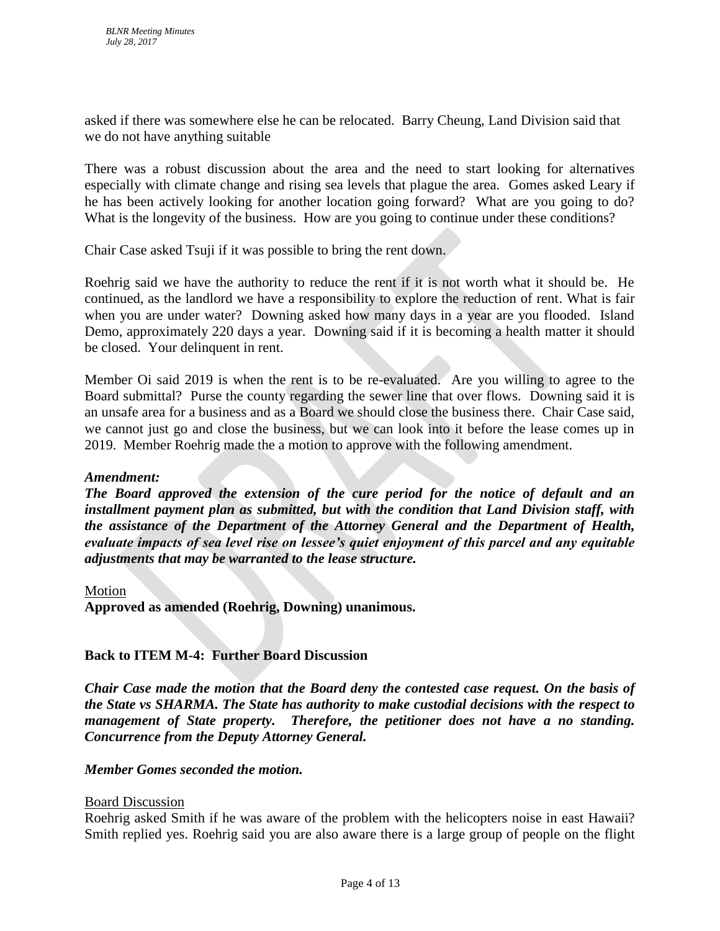asked if there was somewhere else he can be relocated. Barry Cheung, Land Division said that we do not have anything suitable

There was a robust discussion about the area and the need to start looking for alternatives especially with climate change and rising sea levels that plague the area. Gomes asked Leary if he has been actively looking for another location going forward? What are you going to do? What is the longevity of the business. How are you going to continue under these conditions?

Chair Case asked Tsuji if it was possible to bring the rent down.

Roehrig said we have the authority to reduce the rent if it is not worth what it should be. He continued, as the landlord we have a responsibility to explore the reduction of rent. What is fair when you are under water? Downing asked how many days in a year are you flooded. Island Demo, approximately 220 days a year. Downing said if it is becoming a health matter it should be closed. Your delinquent in rent.

Member Oi said 2019 is when the rent is to be re-evaluated. Are you willing to agree to the Board submittal? Purse the county regarding the sewer line that over flows. Downing said it is an unsafe area for a business and as a Board we should close the business there. Chair Case said, we cannot just go and close the business, but we can look into it before the lease comes up in 2019. Member Roehrig made the a motion to approve with the following amendment.

### *Amendment:*

*The Board approved the extension of the cure period for the notice of default and an installment payment plan as submitted, but with the condition that Land Division staff, with the assistance of the Department of the Attorney General and the Department of Health, evaluate impacts of sea level rise on lessee's quiet enjoyment of this parcel and any equitable adjustments that may be warranted to the lease structure.*

#### Motion

**Approved as amended (Roehrig, Downing) unanimous.**

### **Back to ITEM M-4: Further Board Discussion**

*Chair Case made the motion that the Board deny the contested case request. On the basis of the State vs SHARMA. The State has authority to make custodial decisions with the respect to management of State property. Therefore, the petitioner does not have a no standing. Concurrence from the Deputy Attorney General.*

## *Member Gomes seconded the motion.*

### Board Discussion

Roehrig asked Smith if he was aware of the problem with the helicopters noise in east Hawaii? Smith replied yes. Roehrig said you are also aware there is a large group of people on the flight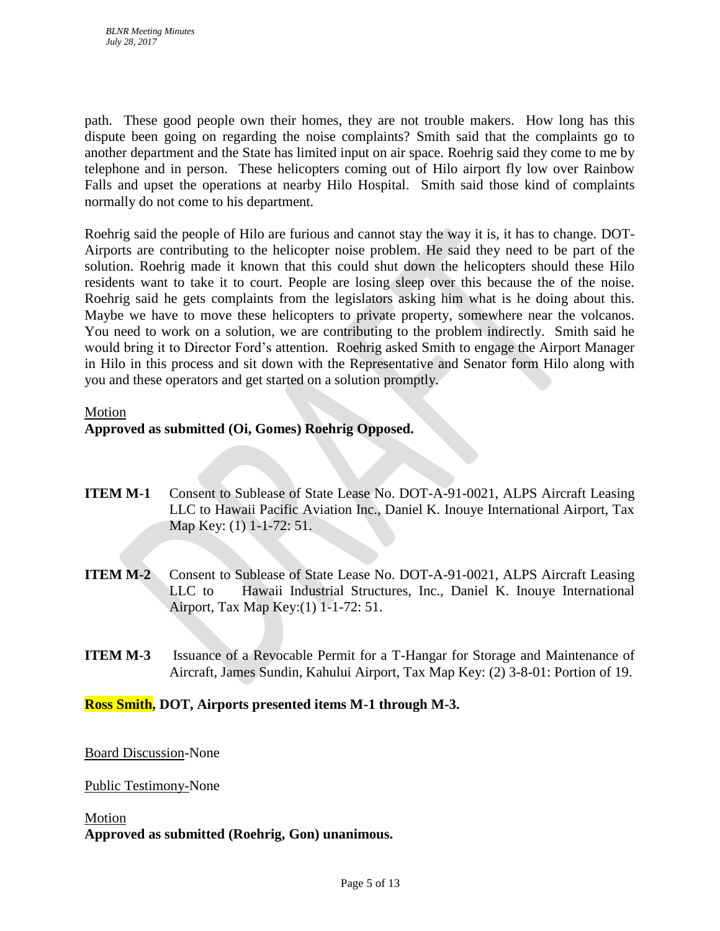path. These good people own their homes, they are not trouble makers. How long has this dispute been going on regarding the noise complaints? Smith said that the complaints go to another department and the State has limited input on air space. Roehrig said they come to me by telephone and in person. These helicopters coming out of Hilo airport fly low over Rainbow Falls and upset the operations at nearby Hilo Hospital. Smith said those kind of complaints normally do not come to his department.

Roehrig said the people of Hilo are furious and cannot stay the way it is, it has to change. DOT-Airports are contributing to the helicopter noise problem. He said they need to be part of the solution. Roehrig made it known that this could shut down the helicopters should these Hilo residents want to take it to court. People are losing sleep over this because the of the noise. Roehrig said he gets complaints from the legislators asking him what is he doing about this. Maybe we have to move these helicopters to private property, somewhere near the volcanos. You need to work on a solution, we are contributing to the problem indirectly. Smith said he would bring it to Director Ford's attention. Roehrig asked Smith to engage the Airport Manager in Hilo in this process and sit down with the Representative and Senator form Hilo along with you and these operators and get started on a solution promptly.

#### Motion

# **Approved as submitted (Oi, Gomes) Roehrig Opposed.**

- **ITEM M-1** Consent to Sublease of State Lease No. DOT-A-91-0021, ALPS Aircraft Leasing LLC to Hawaii Pacific Aviation Inc., Daniel K. Inouye International Airport, Tax Map Key: (1) 1-1-72: 51.
- **ITEM M-2** Consent to Sublease of State Lease No. DOT-A-91-0021, ALPS Aircraft Leasing LLC to Hawaii Industrial Structures, Inc., Daniel K. Inouye International Airport, Tax Map Key:(1) 1-1-72: 51.
- **ITEM M-3** Issuance of a Revocable Permit for a T-Hangar for Storage and Maintenance of Aircraft, James Sundin, Kahului Airport, Tax Map Key: (2) 3-8-01: Portion of 19.

### **Ross Smith, DOT, Airports presented items M-1 through M-3.**

### Board Discussion-None

### Public Testimony-None

#### Motion

**Approved as submitted (Roehrig, Gon) unanimous.**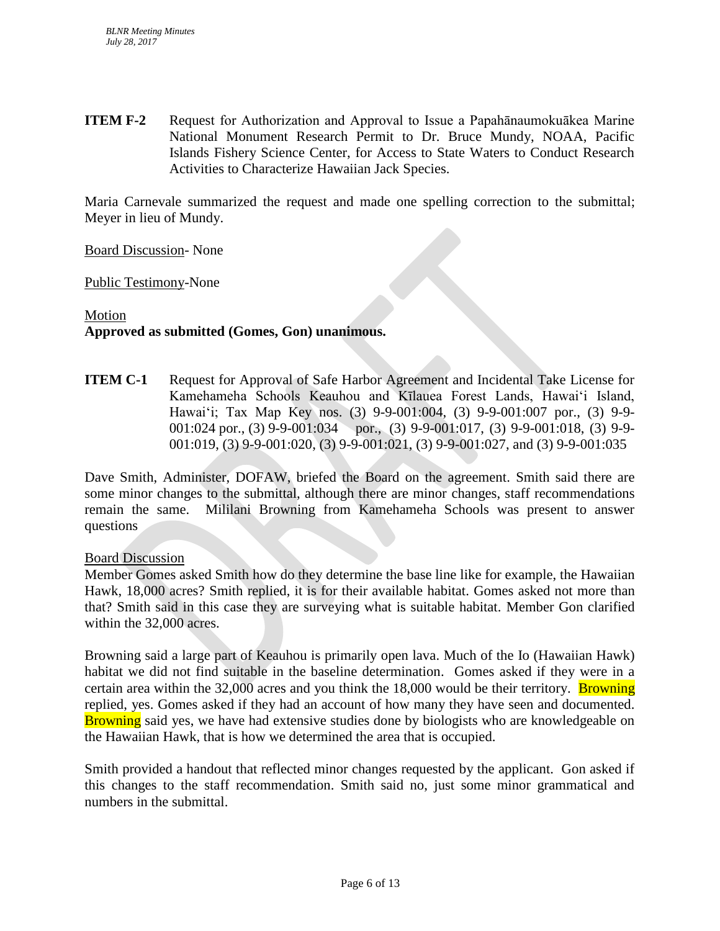**ITEM F-2** Request for Authorization and Approval to Issue a Papahānaumokuākea Marine National Monument Research Permit to Dr. Bruce Mundy, NOAA, Pacific Islands Fishery Science Center, for Access to State Waters to Conduct Research Activities to Characterize Hawaiian Jack Species.

Maria Carnevale summarized the request and made one spelling correction to the submittal; Meyer in lieu of Mundy.

Board Discussion- None

Public Testimony-None

# Motion **Approved as submitted (Gomes, Gon) unanimous.**

**ITEM C-1** Request for Approval of Safe Harbor Agreement and Incidental Take License for Kamehameha Schools Keauhou and Kīlauea Forest Lands, Hawaiʻi Island, Hawaiʻi; Tax Map Key nos. (3) 9-9-001:004, (3) 9-9-001:007 por., (3) 9-9- 001:024 por., (3) 9-9-001:034 por., (3) 9-9-001:017, (3) 9-9-001:018, (3) 9-9-001:019, (3) 9-9-001:020, (3) 9-9-001:021, (3) 9-9-001:027, and (3) 9-9-001:035

Dave Smith, Administer, DOFAW, briefed the Board on the agreement. Smith said there are some minor changes to the submittal, although there are minor changes, staff recommendations remain the same. Mililani Browning from Kamehameha Schools was present to answer questions

#### Board Discussion

Member Gomes asked Smith how do they determine the base line like for example, the Hawaiian Hawk, 18,000 acres? Smith replied, it is for their available habitat. Gomes asked not more than that? Smith said in this case they are surveying what is suitable habitat. Member Gon clarified within the 32,000 acres.

Browning said a large part of Keauhou is primarily open lava. Much of the Io (Hawaiian Hawk) habitat we did not find suitable in the baseline determination. Gomes asked if they were in a certain area within the  $32,000$  acres and you think the 18,000 would be their territory. **Browning** replied, yes. Gomes asked if they had an account of how many they have seen and documented. **Browning** said yes, we have had extensive studies done by biologists who are knowledgeable on the Hawaiian Hawk, that is how we determined the area that is occupied.

Smith provided a handout that reflected minor changes requested by the applicant. Gon asked if this changes to the staff recommendation. Smith said no, just some minor grammatical and numbers in the submittal.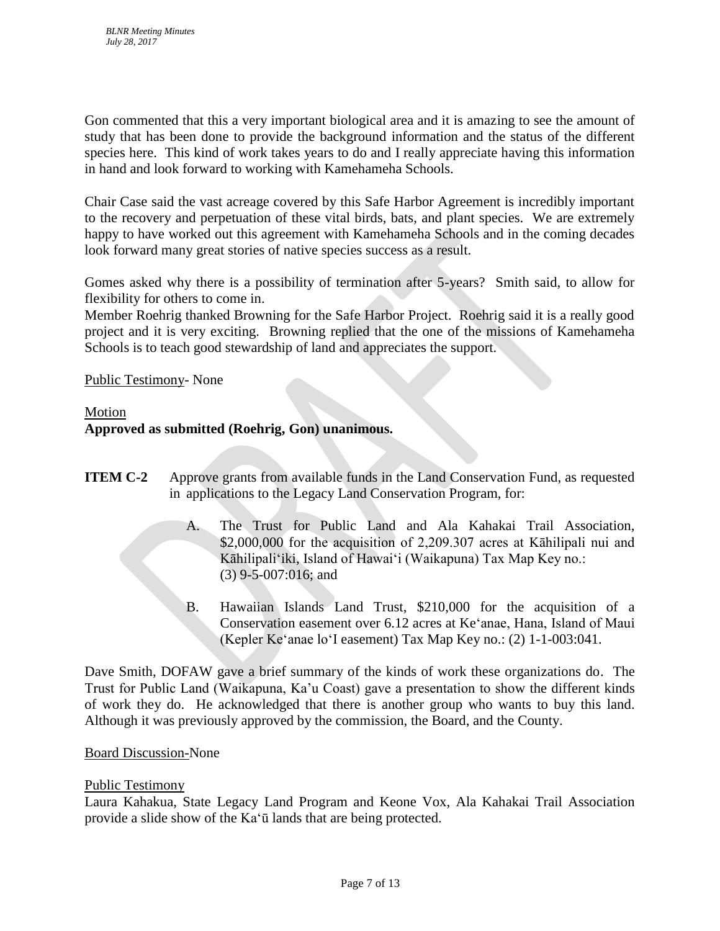Gon commented that this a very important biological area and it is amazing to see the amount of study that has been done to provide the background information and the status of the different species here. This kind of work takes years to do and I really appreciate having this information in hand and look forward to working with Kamehameha Schools.

Chair Case said the vast acreage covered by this Safe Harbor Agreement is incredibly important to the recovery and perpetuation of these vital birds, bats, and plant species. We are extremely happy to have worked out this agreement with Kamehameha Schools and in the coming decades look forward many great stories of native species success as a result.

Gomes asked why there is a possibility of termination after 5-years? Smith said, to allow for flexibility for others to come in.

Member Roehrig thanked Browning for the Safe Harbor Project. Roehrig said it is a really good project and it is very exciting. Browning replied that the one of the missions of Kamehameha Schools is to teach good stewardship of land and appreciates the support.

# Public Testimony- None

### Motion

# **Approved as submitted (Roehrig, Gon) unanimous.**

- **ITEM C-2** Approve grants from available funds in the Land Conservation Fund, as requested in applications to the Legacy Land Conservation Program, for:
	- A. The Trust for Public Land and Ala Kahakai Trail Association, \$2,000,000 for the acquisition of 2,209.307 acres at Kāhilipali nui and Kāhilipali'iki, Island of Hawai'i (Waikapuna) Tax Map Key no.: (3) 9-5-007:016; and
	- B. Hawaiian Islands Land Trust, \$210,000 for the acquisition of a Conservation easement over 6.12 acres at Ke'anae, Hana, Island of Maui (Kepler Ke'anae lo'I easement) Tax Map Key no.: (2) 1-1-003:041.

Dave Smith, DOFAW gave a brief summary of the kinds of work these organizations do. The Trust for Public Land (Waikapuna, Ka'u Coast) gave a presentation to show the different kinds of work they do. He acknowledged that there is another group who wants to buy this land. Although it was previously approved by the commission, the Board, and the County.

### Board Discussion-None

### Public Testimony

Laura Kahakua, State Legacy Land Program and Keone Vox, Ala Kahakai Trail Association provide a slide show of the Ka'ū lands that are being protected.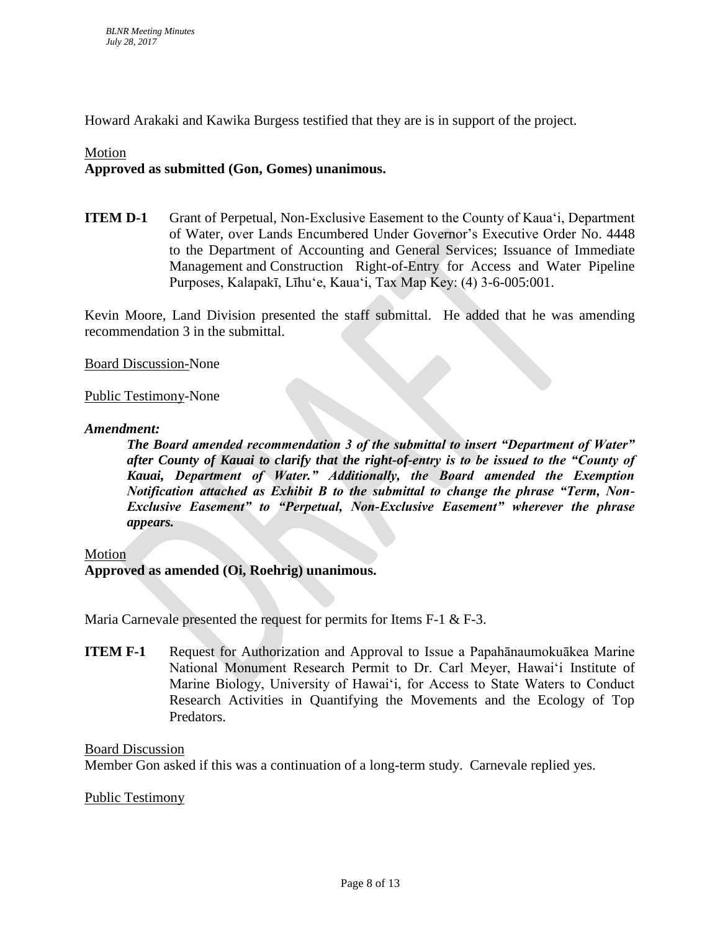Howard Arakaki and Kawika Burgess testified that they are is in support of the project.

### Motion

# **Approved as submitted (Gon, Gomes) unanimous.**

**ITEM D-1** Grant of Perpetual, Non-Exclusive Easement to the County of Kauaʻi, Department of Water, over Lands Encumbered Under Governor's Executive Order No. 4448 to the Department of Accounting and General Services; Issuance of Immediate Management and Construction Right-of-Entry for Access and Water Pipeline Purposes, Kalapakī, Līhuʻe, Kauaʻi, Tax Map Key: (4) 3-6-005:001.

Kevin Moore, Land Division presented the staff submittal. He added that he was amending recommendation 3 in the submittal.

Board Discussion-None

### Public Testimony-None

### *Amendment:*

*The Board amended recommendation 3 of the submittal to insert "Department of Water" after County of Kauai to clarify that the right-of-entry is to be issued to the "County of Kauai, Department of Water." Additionally, the Board amended the Exemption Notification attached as Exhibit B to the submittal to change the phrase "Term, Non-Exclusive Easement" to "Perpetual, Non-Exclusive Easement" wherever the phrase appears.*

#### Motion

### **Approved as amended (Oi, Roehrig) unanimous.**

Maria Carnevale presented the request for permits for Items F-1 & F-3.

**ITEM F-1** Request for Authorization and Approval to Issue a Papahānaumokuākea Marine National Monument Research Permit to Dr. Carl Meyer, Hawaiʻi Institute of Marine Biology, University of Hawaiʻi, for Access to State Waters to Conduct Research Activities in Quantifying the Movements and the Ecology of Top Predators.

Board Discussion

Member Gon asked if this was a continuation of a long-term study. Carnevale replied yes.

Public Testimony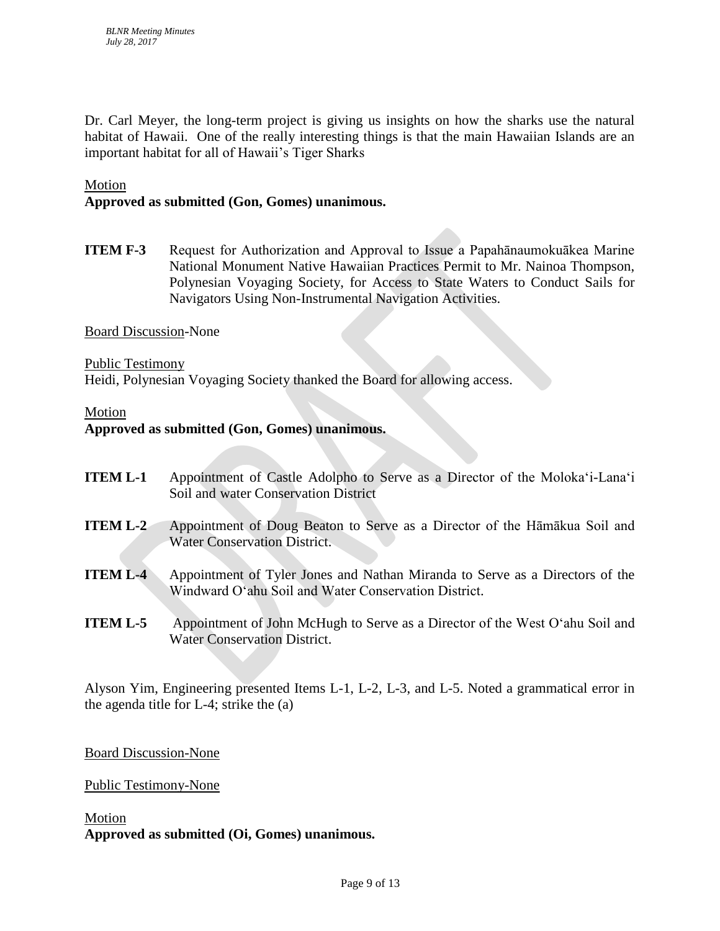Dr. Carl Meyer, the long-term project is giving us insights on how the sharks use the natural habitat of Hawaii. One of the really interesting things is that the main Hawaiian Islands are an important habitat for all of Hawaii's Tiger Sharks

### Motion

# **Approved as submitted (Gon, Gomes) unanimous.**

**ITEM F-3** Request for Authorization and Approval to Issue a Papahānaumokuākea Marine National Monument Native Hawaiian Practices Permit to Mr. Nainoa Thompson, Polynesian Voyaging Society, for Access to State Waters to Conduct Sails for Navigators Using Non-Instrumental Navigation Activities.

Board Discussion-None

Public Testimony Heidi, Polynesian Voyaging Society thanked the Board for allowing access.

#### Motion

### **Approved as submitted (Gon, Gomes) unanimous.**

- **ITEM L-1** Appointment of Castle Adolpho to Serve as a Director of the Moloka'i-Lana'i Soil and water Conservation District
- **ITEM L-2** Appointment of Doug Beaton to Serve as a Director of the Hāmākua Soil and Water Conservation District.
- **ITEM L-4** Appointment of Tyler Jones and Nathan Miranda to Serve as a Directors of the Windward O'ahu Soil and Water Conservation District.
- **ITEM L-5** Appointment of John McHugh to Serve as a Director of the West O'ahu Soil and Water Conservation District.

Alyson Yim, Engineering presented Items L-1, L-2, L-3, and L-5. Noted a grammatical error in the agenda title for L-4; strike the (a)

Board Discussion-None

Public Testimony-None

Motion **Approved as submitted (Oi, Gomes) unanimous.**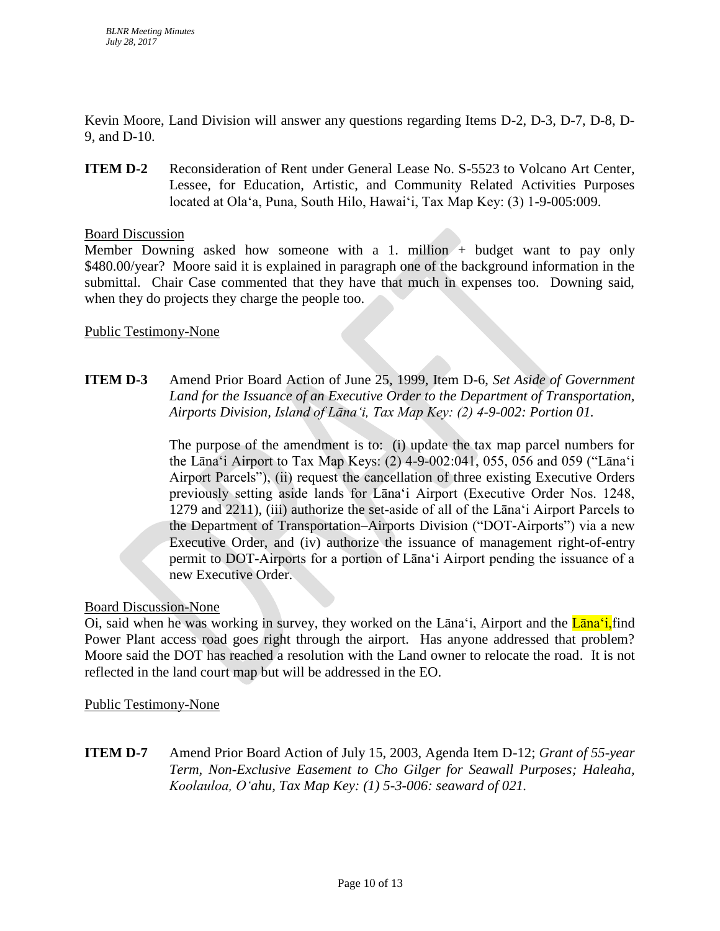Kevin Moore, Land Division will answer any questions regarding Items D-2, D-3, D-7, D-8, D-9, and D-10.

**ITEM D-2** Reconsideration of Rent under General Lease No. S-5523 to Volcano Art Center, Lessee, for Education, Artistic, and Community Related Activities Purposes located at Ola'a, Puna, South Hilo, Hawaiʻi, Tax Map Key: (3) 1-9-005:009.

# Board Discussion

Member Downing asked how someone with a 1. million + budget want to pay only \$480.00/year? Moore said it is explained in paragraph one of the background information in the submittal. Chair Case commented that they have that much in expenses too. Downing said, when they do projects they charge the people too.

# Public Testimony-None

# **ITEM D-3** Amend Prior Board Action of June 25, 1999, Item D-6, *Set Aside of Government Land for the Issuance of an Executive Order to the Department of Transportation, Airports Division, Island of Lāna'i, Tax Map Key: (2) 4-9-002: Portion 01.*

The purpose of the amendment is to: (i) update the tax map parcel numbers for the Lāna'i Airport to Tax Map Keys: (2) 4-9-002:041, 055, 056 and 059 ("Lāna'i Airport Parcels"), (ii) request the cancellation of three existing Executive Orders previously setting aside lands for Lāna'i Airport (Executive Order Nos. 1248, 1279 and 2211), (iii) authorize the set-aside of all of the Lāna'i Airport Parcels to the Department of Transportation–Airports Division ("DOT-Airports") via a new Executive Order, and (iv) authorize the issuance of management right-of-entry permit to DOT-Airports for a portion of Lānaʻi Airport pending the issuance of a new Executive Order.

# Board Discussion-None

Oi, said when he was working in survey, they worked on the Lana'i, Airport and the Lana'i, find Power Plant access road goes right through the airport. Has anyone addressed that problem? Moore said the DOT has reached a resolution with the Land owner to relocate the road. It is not reflected in the land court map but will be addressed in the EO.

# Public Testimony-None

**ITEM D-7** Amend Prior Board Action of July 15, 2003, Agenda Item D-12; *Grant of 55-year Term, Non-Exclusive Easement to Cho Gilger for Seawall Purposes; Haleaha, Koolauloa, O'ahu, Tax Map Key: (1) 5-3-006: seaward of 021.*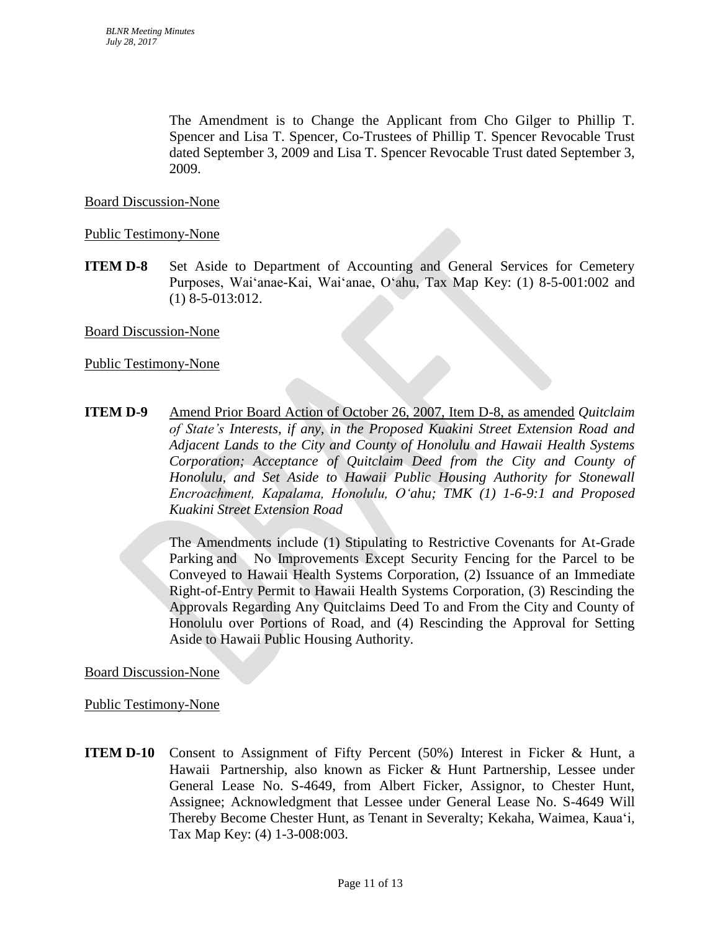The Amendment is to Change the Applicant from Cho Gilger to Phillip T. Spencer and Lisa T. Spencer, Co-Trustees of Phillip T. Spencer Revocable Trust dated September 3, 2009 and Lisa T. Spencer Revocable Trust dated September 3, 2009.

## Board Discussion-None

### Public Testimony-None

**ITEM D-8** Set Aside to Department of Accounting and General Services for Cemetery Purposes, Wai'anae-Kai, Wai'anae, O'ahu, Tax Map Key: (1) 8-5-001:002 and (1) 8-5-013:012.

### Board Discussion-None

### Public Testimony-None

**ITEM D-9** Amend Prior Board Action of October 26, 2007, Item D-8, as amended *Quitclaim of State's Interests, if any, in the Proposed Kuakini Street Extension Road and Adjacent Lands to the City and County of Honolulu and Hawaii Health Systems Corporation; Acceptance of Quitclaim Deed from the City and County of Honolulu, and Set Aside to Hawaii Public Housing Authority for Stonewall Encroachment, Kapalama, Honolulu, O'ahu; TMK (1) 1-6-9:1 and Proposed Kuakini Street Extension Road*

> The Amendments include (1) Stipulating to Restrictive Covenants for At-Grade Parking and No Improvements Except Security Fencing for the Parcel to be Conveyed to Hawaii Health Systems Corporation, (2) Issuance of an Immediate Right-of-Entry Permit to Hawaii Health Systems Corporation, (3) Rescinding the Approvals Regarding Any Quitclaims Deed To and From the City and County of Honolulu over Portions of Road, and (4) Rescinding the Approval for Setting Aside to Hawaii Public Housing Authority.

### Board Discussion-None

Public Testimony-None

**ITEM D-10** Consent to Assignment of Fifty Percent (50%) Interest in Ficker & Hunt, a Hawaii Partnership, also known as Ficker & Hunt Partnership, Lessee under General Lease No. S-4649, from Albert Ficker, Assignor, to Chester Hunt, Assignee; Acknowledgment that Lessee under General Lease No. S-4649 Will Thereby Become Chester Hunt, as Tenant in Severalty; Kekaha, Waimea*,* Kaua'i*,* Tax Map Key: (4) 1-3-008:003.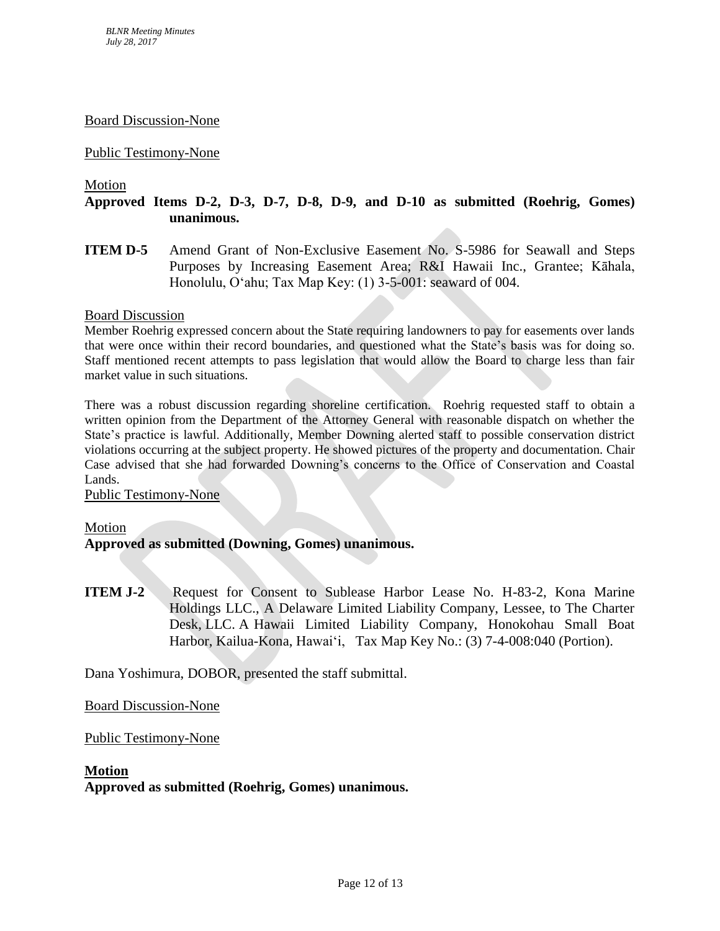#### Board Discussion-None

### Public Testimony-None

#### Motion

# **Approved Items D-2, D-3, D-7, D-8, D-9, and D-10 as submitted (Roehrig, Gomes) unanimous.**

**ITEM D-5** Amend Grant of Non-Exclusive Easement No. S-5986 for Seawall and Steps Purposes by Increasing Easement Area; R&I Hawaii Inc., Grantee; Kāhala, Honolulu, Oʻahu; Tax Map Key: (1) 3-5-001: seaward of 004.

#### Board Discussion

Member Roehrig expressed concern about the State requiring landowners to pay for easements over lands that were once within their record boundaries, and questioned what the State's basis was for doing so. Staff mentioned recent attempts to pass legislation that would allow the Board to charge less than fair market value in such situations.

There was a robust discussion regarding shoreline certification. Roehrig requested staff to obtain a written opinion from the Department of the Attorney General with reasonable dispatch on whether the State's practice is lawful. Additionally, Member Downing alerted staff to possible conservation district violations occurring at the subject property. He showed pictures of the property and documentation. Chair Case advised that she had forwarded Downing's concerns to the Office of Conservation and Coastal Lands.

#### Public Testimony-None

#### Motion

### **Approved as submitted (Downing, Gomes) unanimous.**

**ITEM J-2** Request for Consent to Sublease Harbor Lease No. H-83-2, Kona Marine Holdings LLC., A Delaware Limited Liability Company, Lessee, to The Charter Desk, LLC. A Hawaii Limited Liability Company, Honokohau Small Boat Harbor, Kailua-Kona, Hawai'i, Tax Map Key No.: (3) 7-4-008:040 (Portion).

Dana Yoshimura, DOBOR, presented the staff submittal.

#### Board Discussion-None

### Public Testimony-None

#### **Motion**

**Approved as submitted (Roehrig, Gomes) unanimous.**